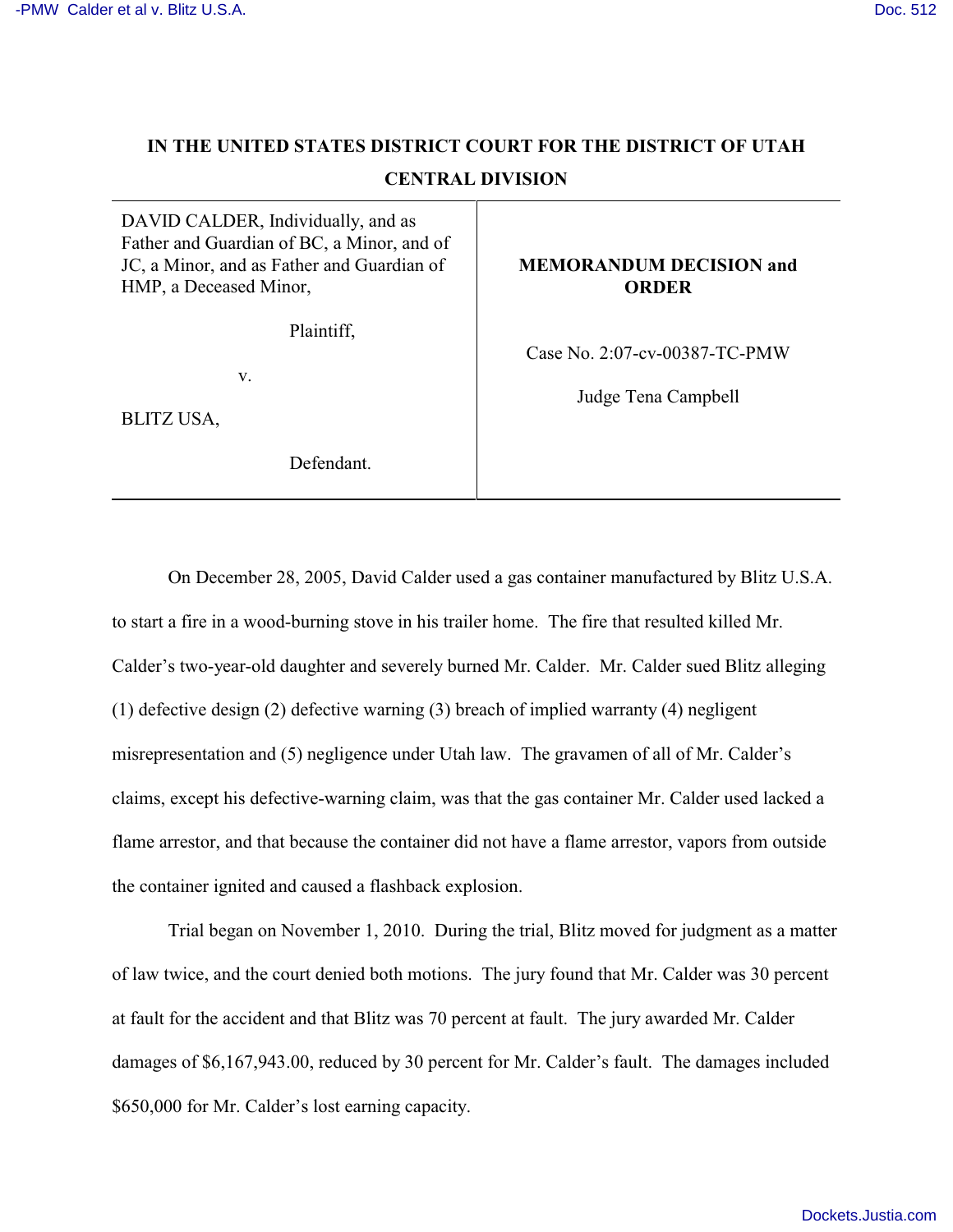# **IN THE UNITED STATES DISTRICT COURT FOR THE DISTRICT OF UTAH CENTRAL DIVISION**

DAVID CALDER, Individually, and as Father and Guardian of BC, a Minor, and of JC, a Minor, and as Father and Guardian of HMP, a Deceased Minor,

Plaintiff,

v.

BLITZ USA,

Defendant.

**MEMORANDUM DECISION and ORDER**

Case No. 2:07-cv-00387-TC-PMW

Judge Tena Campbell

On December 28, 2005, David Calder used a gas container manufactured by Blitz U.S.A. to start a fire in a wood-burning stove in his trailer home. The fire that resulted killed Mr. Calder's two-year-old daughter and severely burned Mr. Calder. Mr. Calder sued Blitz alleging (1) defective design (2) defective warning (3) breach of implied warranty (4) negligent misrepresentation and (5) negligence under Utah law. The gravamen of all of Mr. Calder's claims, except his defective-warning claim, was that the gas container Mr. Calder used lacked a flame arrestor, and that because the container did not have a flame arrestor, vapors from outside the container ignited and caused a flashback explosion.

Trial began on November 1, 2010. During the trial, Blitz moved for judgment as a matter of law twice, and the court denied both motions. The jury found that Mr. Calder was 30 percent at fault for the accident and that Blitz was 70 percent at fault. The jury awarded Mr. Calder damages of \$6,167,943.00, reduced by 30 percent for Mr. Calder's fault. The damages included \$650,000 for Mr. Calder's lost earning capacity.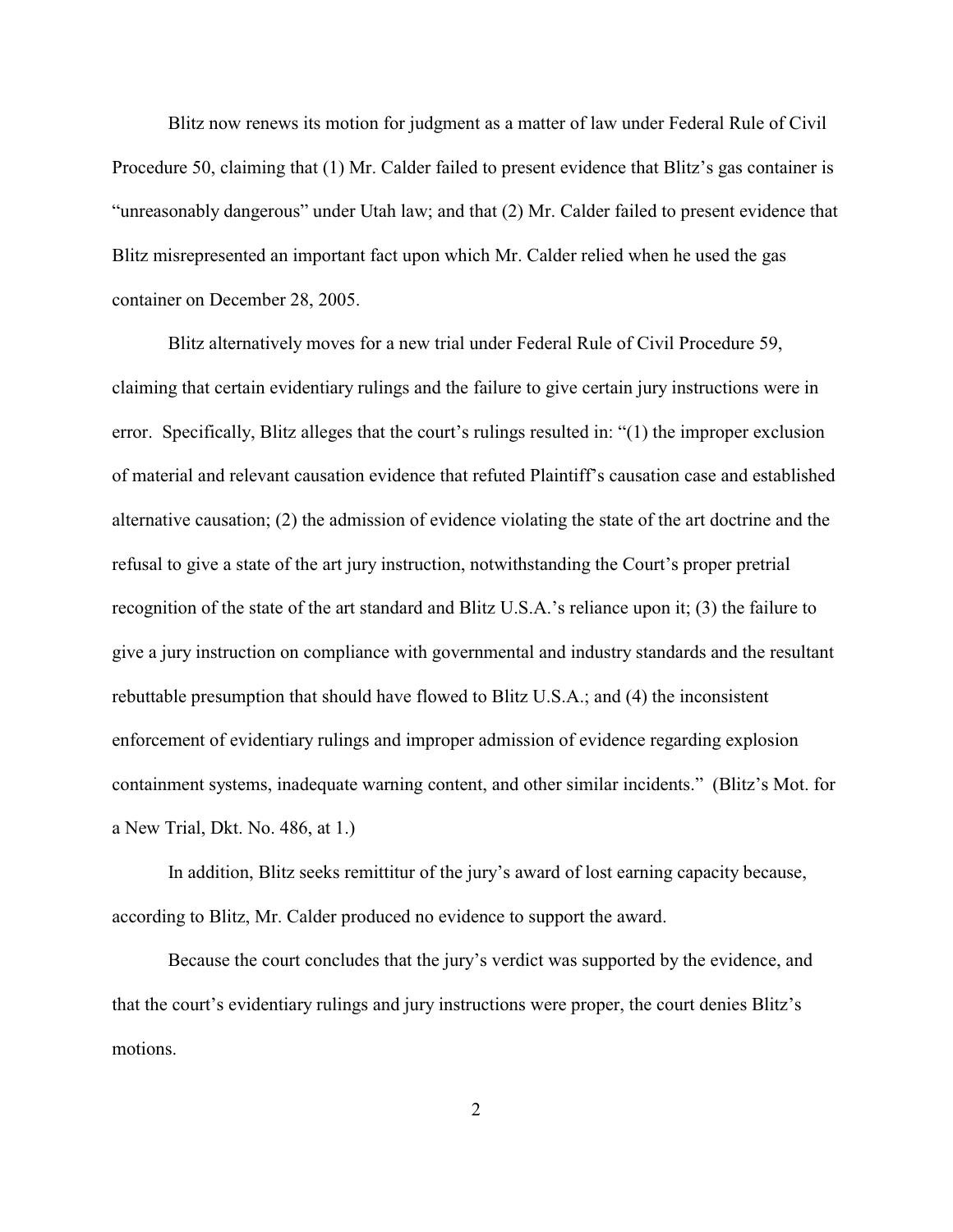Blitz now renews its motion for judgment as a matter of law under Federal Rule of Civil Procedure 50, claiming that (1) Mr. Calder failed to present evidence that Blitz's gas container is "unreasonably dangerous" under Utah law; and that (2) Mr. Calder failed to present evidence that Blitz misrepresented an important fact upon which Mr. Calder relied when he used the gas container on December 28, 2005.

Blitz alternatively moves for a new trial under Federal Rule of Civil Procedure 59, claiming that certain evidentiary rulings and the failure to give certain jury instructions were in error. Specifically, Blitz alleges that the court's rulings resulted in: "(1) the improper exclusion of material and relevant causation evidence that refuted Plaintiff's causation case and established alternative causation; (2) the admission of evidence violating the state of the art doctrine and the refusal to give a state of the art jury instruction, notwithstanding the Court's proper pretrial recognition of the state of the art standard and Blitz U.S.A.'s reliance upon it; (3) the failure to give a jury instruction on compliance with governmental and industry standards and the resultant rebuttable presumption that should have flowed to Blitz U.S.A.; and (4) the inconsistent enforcement of evidentiary rulings and improper admission of evidence regarding explosion containment systems, inadequate warning content, and other similar incidents." (Blitz's Mot. for a New Trial, Dkt. No. 486, at 1.)

In addition, Blitz seeks remittitur of the jury's award of lost earning capacity because, according to Blitz, Mr. Calder produced no evidence to support the award.

Because the court concludes that the jury's verdict was supported by the evidence, and that the court's evidentiary rulings and jury instructions were proper, the court denies Blitz's motions.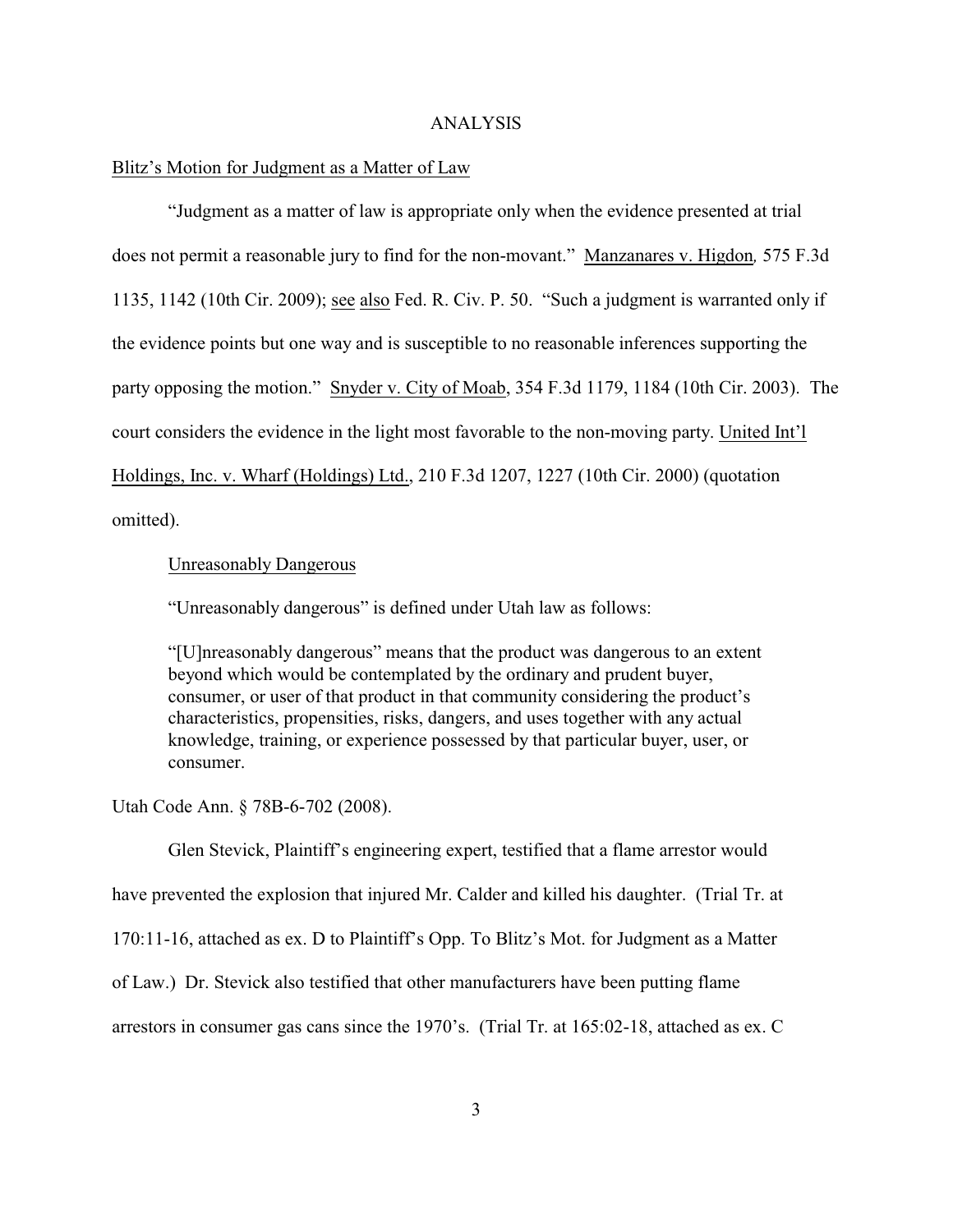#### ANALYSIS

### Blitz's Motion for Judgment as a Matter of Law

"Judgment as a matter of law is appropriate only when the evidence presented at trial does not permit a reasonable jury to find for the non-movant." Manzanares v. Higdon*,* 575 F.3d 1135, 1142 (10th Cir. 2009); see also Fed. R. Civ. P. 50. "Such a judgment is warranted only if the evidence points but one way and is susceptible to no reasonable inferences supporting the party opposing the motion." Snyder v. City of Moab, 354 F.3d 1179, 1184 (10th Cir. 2003). The court considers the evidence in the light most favorable to the non-moving party. United Int'l Holdings, Inc. v. Wharf (Holdings) Ltd., 210 F.3d 1207, 1227 (10th Cir. 2000) (quotation omitted).

Unreasonably Dangerous

"Unreasonably dangerous" is defined under Utah law as follows:

"[U]nreasonably dangerous" means that the product was dangerous to an extent beyond which would be contemplated by the ordinary and prudent buyer, consumer, or user of that product in that community considering the product's characteristics, propensities, risks, dangers, and uses together with any actual knowledge, training, or experience possessed by that particular buyer, user, or consumer.

Utah Code Ann. § 78B-6-702 (2008).

Glen Stevick, Plaintiff's engineering expert, testified that a flame arrestor would have prevented the explosion that injured Mr. Calder and killed his daughter. (Trial Tr. at 170:11-16, attached as ex. D to Plaintiff's Opp. To Blitz's Mot. for Judgment as a Matter of Law.) Dr. Stevick also testified that other manufacturers have been putting flame arrestors in consumer gas cans since the 1970's. (Trial Tr. at 165:02-18, attached as ex. C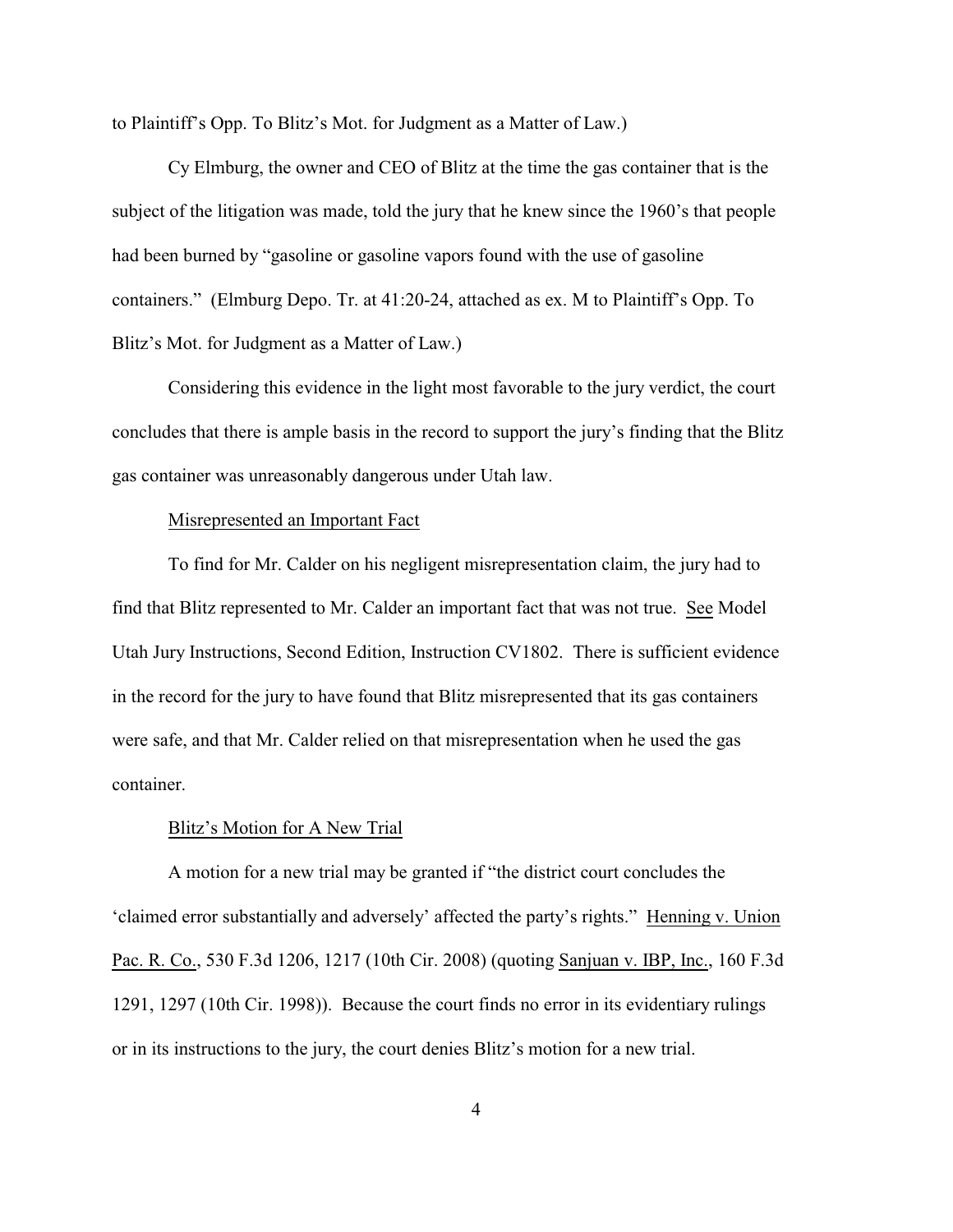to Plaintiff's Opp. To Blitz's Mot. for Judgment as a Matter of Law.)

Cy Elmburg, the owner and CEO of Blitz at the time the gas container that is the subject of the litigation was made, told the jury that he knew since the 1960's that people had been burned by "gasoline or gasoline vapors found with the use of gasoline containers." (Elmburg Depo. Tr. at 41:20-24, attached as ex. M to Plaintiff's Opp. To Blitz's Mot. for Judgment as a Matter of Law.)

Considering this evidence in the light most favorable to the jury verdict, the court concludes that there is ample basis in the record to support the jury's finding that the Blitz gas container was unreasonably dangerous under Utah law.

### Misrepresented an Important Fact

To find for Mr. Calder on his negligent misrepresentation claim, the jury had to find that Blitz represented to Mr. Calder an important fact that was not true. See Model Utah Jury Instructions, Second Edition, Instruction CV1802. There is sufficient evidence in the record for the jury to have found that Blitz misrepresented that its gas containers were safe, and that Mr. Calder relied on that misrepresentation when he used the gas container.

#### Blitz's Motion for A New Trial

A motion for a new trial may be granted if "the district court concludes the 'claimed error substantially and adversely' affected the party's rights." Henning v. Union Pac. R. Co., 530 F.3d 1206, 1217 (10th Cir. 2008) (quoting Sanjuan v. IBP, Inc., 160 F.3d 1291, 1297 (10th Cir. 1998)). Because the court finds no error in its evidentiary rulings or in its instructions to the jury, the court denies Blitz's motion for a new trial.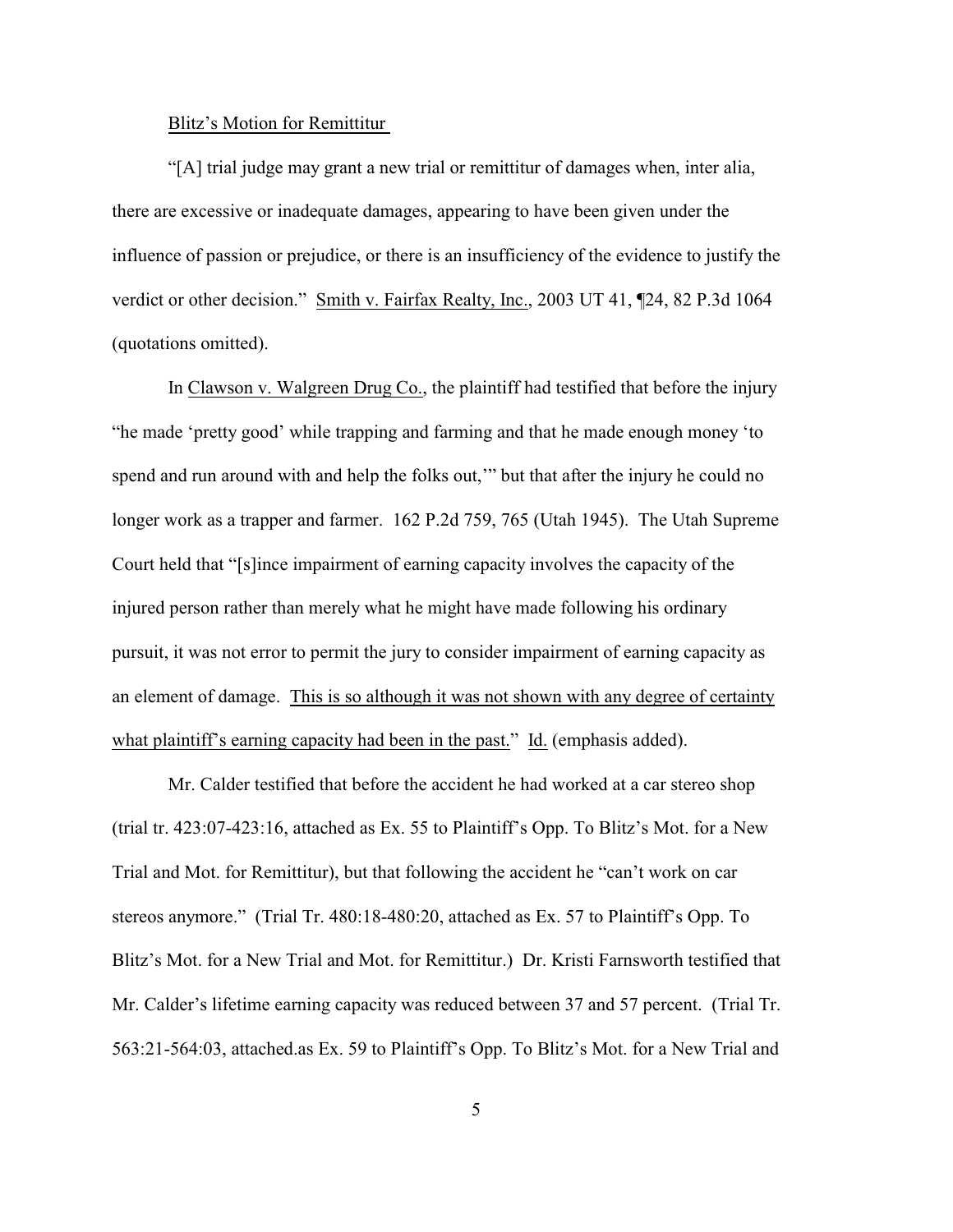#### Blitz's Motion for Remittitur

"[A] trial judge may grant a new trial or remittitur of damages when, inter alia, there are excessive or inadequate damages, appearing to have been given under the influence of passion or prejudice, or there is an insufficiency of the evidence to justify the verdict or other decision." Smith v. Fairfax Realty, Inc., 2003 UT 41, ¶24, 82 P.3d 1064 (quotations omitted).

In Clawson v. Walgreen Drug Co., the plaintiff had testified that before the injury "he made 'pretty good' while trapping and farming and that he made enough money 'to spend and run around with and help the folks out,'" but that after the injury he could no longer work as a trapper and farmer. 162 P.2d 759, 765 (Utah 1945). The Utah Supreme Court held that "[s]ince impairment of earning capacity involves the capacity of the injured person rather than merely what he might have made following his ordinary pursuit, it was not error to permit the jury to consider impairment of earning capacity as an element of damage. This is so although it was not shown with any degree of certainty what plaintiff's earning capacity had been in the past." Id. (emphasis added).

Mr. Calder testified that before the accident he had worked at a car stereo shop (trial tr. 423:07-423:16, attached as Ex. 55 to Plaintiff's Opp. To Blitz's Mot. for a New Trial and Mot. for Remittitur), but that following the accident he "can't work on car stereos anymore." (Trial Tr. 480:18-480:20, attached as Ex. 57 to Plaintiff's Opp. To Blitz's Mot. for a New Trial and Mot. for Remittitur.) Dr. Kristi Farnsworth testified that Mr. Calder's lifetime earning capacity was reduced between 37 and 57 percent. (Trial Tr. 563:21-564:03, attached.as Ex. 59 to Plaintiff's Opp. To Blitz's Mot. for a New Trial and